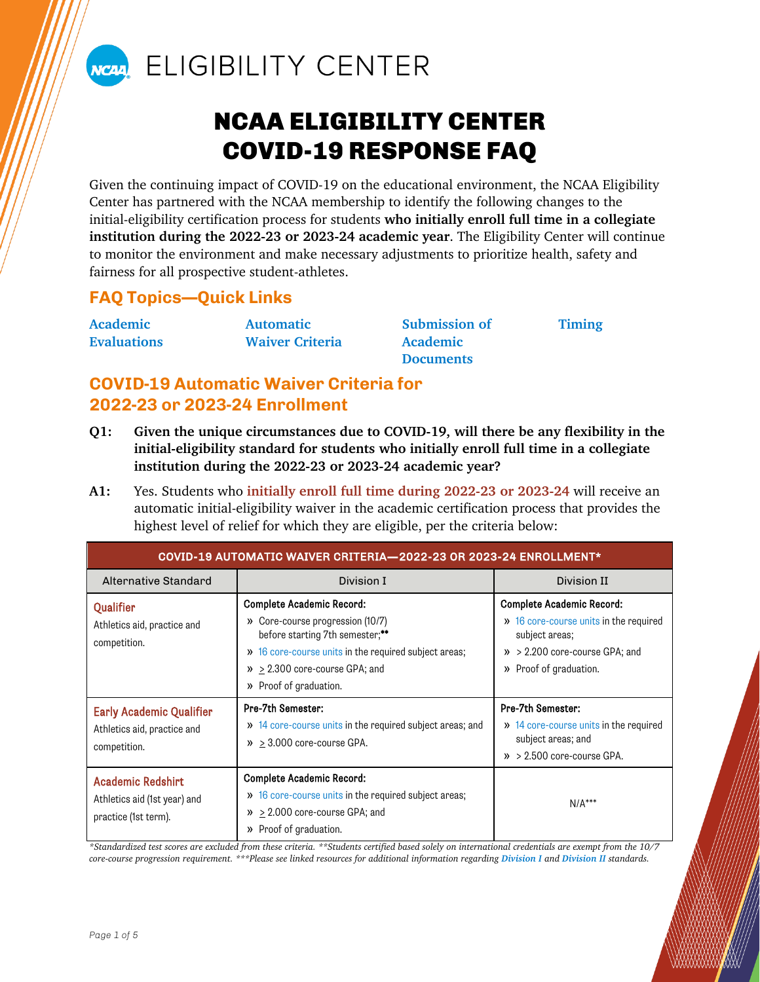

# NCAN ELIGIBILITY CENTER

# NCAA ELIGIBILITY CENTER COVID-19 RESPONSE FAQ

Given the continuing impact of COVID-19 on the educational environment, the NCAA Eligibility Center has partnered with the NCAA membership to identify the following changes to the initial-eligibility certification process for students **who initially enroll full time in a collegiate institution during the 2022-23 or 2023-24 academic year**. The Eligibility Center will continue to monitor the environment and make necessary adjustments to prioritize health, safety and fairness for all prospective student-athletes.

## **FAQ Topics—Quick Links**

| Academic           | <b>Automatic</b>       | <b>Submission of</b> |
|--------------------|------------------------|----------------------|
| <b>Evaluations</b> | <b>Waiver Criteria</b> | Academic             |
|                    |                        | $D$ o ou monto       |

**[Documents](#page-2-1)**

**[Timing](#page-2-2)**

# <span id="page-0-0"></span>**COVID-19 Automatic Waiver Criteria for 2022-23 or 2023-24 Enrollment**

- **Q1: Given the unique circumstances due to COVID-19, will there be any flexibility in the initial-eligibility standard for students who initially enroll full time in a collegiate institution during the 2022-23 or 2023-24 academic year?**
- **A1:** Yes. Students who **initially enroll full time during 2022-23 or 2023-24** will receive an automatic initial-eligibility waiver in the academic certification process that provides the highest level of relief for which they are eligible, per the criteria below:

<span id="page-0-1"></span>

| COVID-19 AUTOMATIC WAIVER CRITERIA-2022-23 OR 2023-24 ENROLLMENT*                |                                                                                                                                                                                                                                      |                                                                                                                                                                  |  |  |
|----------------------------------------------------------------------------------|--------------------------------------------------------------------------------------------------------------------------------------------------------------------------------------------------------------------------------------|------------------------------------------------------------------------------------------------------------------------------------------------------------------|--|--|
| Alternative Standard                                                             | Division I                                                                                                                                                                                                                           | Division II                                                                                                                                                      |  |  |
| <b>Qualifier</b><br>Athletics aid, practice and<br>competition.                  | <b>Complete Academic Record:</b><br>» Core-course progression (10/7)<br>before starting 7th semester;**<br>>> 16 core-course units in the required subject areas;<br>$\theta$ > 2.300 core-course GPA; and<br>» Proof of graduation. | <b>Complete Academic Record:</b><br>>> 16 core-course units in the required<br>subject areas;<br>$\gg$ > 2.200 core-course GPA; and<br>Proof of graduation.<br>» |  |  |
| <b>Early Academic Qualifier</b><br>Athletics aid, practice and<br>competition.   | Pre-7th Semester:<br>>> 14 core-course units in the required subject areas; and<br>$\lambda$ > 3.000 core-course GPA.                                                                                                                | Pre-7th Semester:<br>>> 14 core-course units in the required<br>subject areas; and<br>$\lambda$ > 2.500 core-course GPA.                                         |  |  |
| <b>Academic Redshirt</b><br>Athletics aid (1st year) and<br>practice (1st term). | <b>Complete Academic Record:</b><br>>> 16 core-course units in the required subject areas;<br>$\mathcal{P}$ > 2.000 core-course GPA; and<br>» Proof of graduation.                                                                   | $N/A***$                                                                                                                                                         |  |  |

<span id="page-0-3"></span><span id="page-0-2"></span>*\*Standardized test scores are excluded from these criteria. \*\*Students certified based solely on international credentials are exempt from the 10/7 core-course progression requirement. \*\*\*Please see linked resources for additional information regarding [Division I](http://fs.ncaa.org/Docs/eligibility_center/Student_Resources/DI_ReqsFactSheet.pdf) and [Division II](https://on.ncaa.com/DIIAcademicReq) standards.*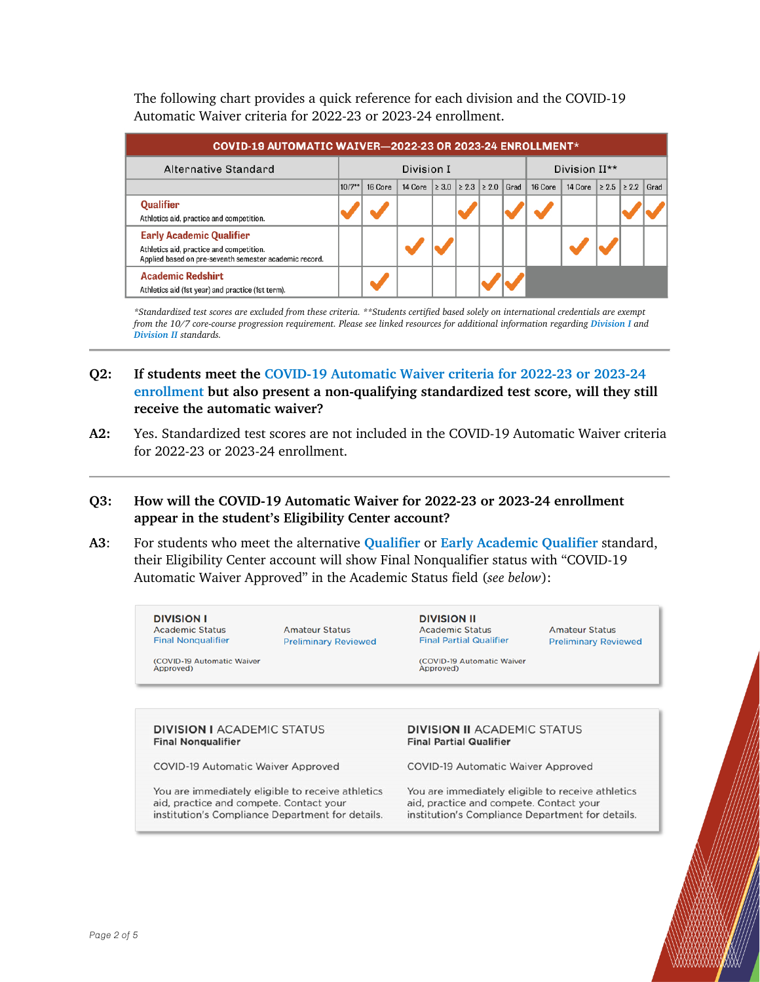The following chart provides a quick reference for each division and the COVID-19 Automatic Waiver criteria for 2022-23 or 2023-24 enrollment.

| COVID-19 AUTOMATIC WAIVER-2022-23 OR 2023-24 ENROLLMENT*                                                                              |                                         |         |         |                               |  |         |         |            |            |      |
|---------------------------------------------------------------------------------------------------------------------------------------|-----------------------------------------|---------|---------|-------------------------------|--|---------|---------|------------|------------|------|
| Alternative Standard                                                                                                                  | Division I<br>Division II <sup>**</sup> |         |         |                               |  |         |         |            |            |      |
|                                                                                                                                       | $10/7**$                                | 16 Core | 14 Core | $ 2 3.0  2 2.3  2 2.0  $ Grad |  | 16 Core | 14 Core | $\geq 2.5$ | $\geq 2.2$ | Grad |
| Qualifier<br>Athletics aid, practice and competition.                                                                                 |                                         |         |         |                               |  |         |         |            |            |      |
| <b>Early Academic Qualifier</b><br>Athletics aid, practice and competition.<br>Applied based on pre-seventh semester academic record. |                                         |         |         |                               |  |         |         |            |            |      |
| <b>Academic Redshirt</b><br>Athletics aid (1st year) and practice (1st term).                                                         |                                         |         |         |                               |  |         |         |            |            |      |

*\*Standardized test scores are excluded from these criteria. \*\*Students certified based solely on international credentials are exempt from the 10/7 core-course progression requirement. Please see linked resources for additional information regarding [Division I](http://fs.ncaa.org/Docs/eligibility_center/Student_Resources/DI_ReqsFactSheet.pdf) and [Division II](https://on.ncaa.com/DIIAcademicReq) standards.*

## **Q2: If students meet the [COVID-19 Automatic Waiver criteria for 2022-23 or 2023-24](#page-0-1)  [enrollment](#page-0-1) but also present a non-qualifying standardized test score, will they still receive the automatic waiver?**

**A2:** Yes. Standardized test scores are not included in the COVID-19 Automatic Waiver criteria for 2022-23 or 2023-24 enrollment.

#### **Q3: How will the COVID-19 Automatic Waiver for 2022-23 or 2023-24 enrollment appear in the student's Eligibility Center account?**

**A3**: For students who meet the alternative **[Qualifier](#page-0-1)** or **[Early Academic Qualifier](#page-0-2)** standard, their Eligibility Center account will show Final Nonqualifier status with "COVID-19 Automatic Waiver Approved" in the Academic Status field (*see below*):

| <b>DIVISION I</b><br><b>Academic Status</b><br><b>Final Nongualifier</b> | <b>Amateur Status</b><br><b>Preliminary Reviewed</b> | <b>DIVISION II</b><br><b>Academic Status</b><br><b>Final Partial Qualifier</b> | <b>Amateur Status</b><br><b>Preliminary Reviewed</b> |
|--------------------------------------------------------------------------|------------------------------------------------------|--------------------------------------------------------------------------------|------------------------------------------------------|
| (COVID-19 Automatic Waiver<br>Approved)                                  |                                                      | <b>COVID-19 Automatic Waiver</b><br>Approved)                                  |                                                      |
| <b>DIVISION I ACADEMIC STATUS</b><br><b>Final Nongualifier</b>           |                                                      | <b>DIVISION II ACADEMIC STATUS</b>                                             |                                                      |

**COVID-19 Automatic Waiver Approved** 

You are immediately eligible to receive athletics aid, practice and compete. Contact your institution's Compliance Department for details. **COVID-19 Automatic Waiver Approved** 

You are immediately eligible to receive athletics aid, practice and compete. Contact your institution's Compliance Department for details.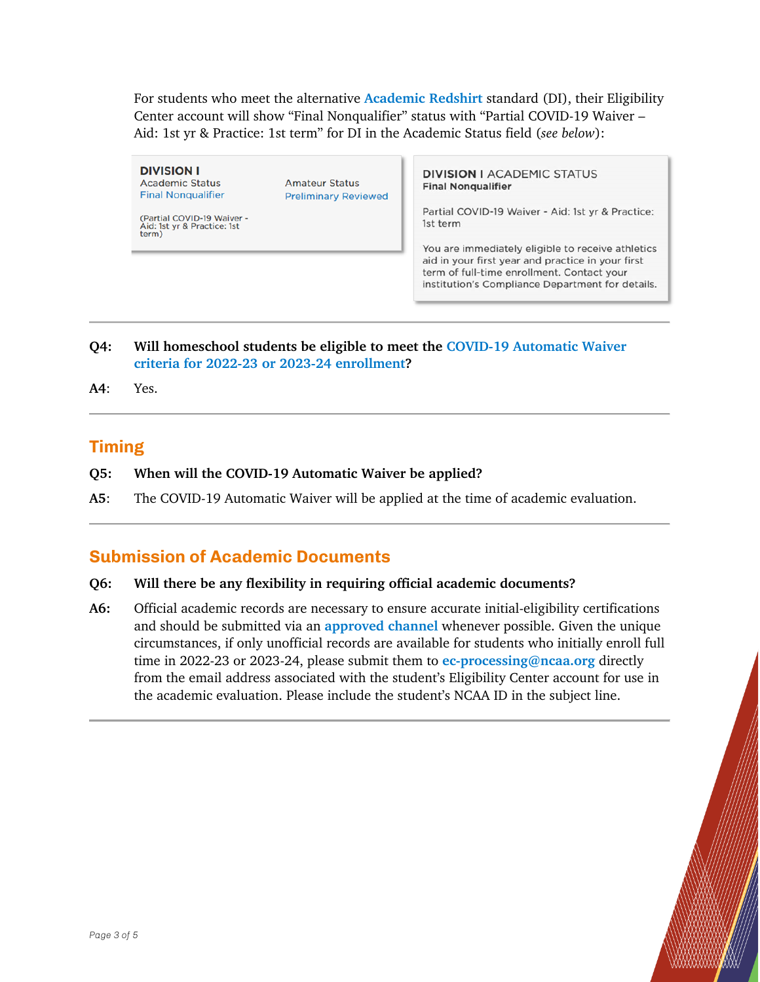For students who meet the alternative **[Academic Redshirt](#page-0-3)** standard (DI), their Eligibility Center account will show "Final Nonqualifier" status with "Partial COVID-19 Waiver – Aid: 1st yr & Practice: 1st term" for DI in the Academic Status field (*see below*):

**DIVISION I Academic Status Final Nongualifier** 

**Preliminary Reviewed** 

(Partial COVID-19 Waiver -Aid: 1st yr & Practice: 1st term)

**DIVISION I ACADEMIC STATUS Final Nonqualifier** 

Partial COVID-19 Waiver - Aid: 1st yr & Practice: 1st term

<span id="page-2-0"></span>You are immediately eligible to receive athletics aid in your first year and practice in your first term of full-time enrollment. Contact your institution's Compliance Department for details.

**Q4: Will homeschool students be eligible to meet the [COVID-19 Automatic Waiver](#page-0-1)  [criteria for 2022-23 or 2023-24 enrollment?](#page-0-1)**

**Amateur Status** 

<span id="page-2-2"></span>**A4**: Yes.

## **Timing**

- **Q5: When will the COVID-19 Automatic Waiver be applied?**
- **A5**: The COVID-19 Automatic Waiver will be applied at the time of academic evaluation.

## <span id="page-2-1"></span>**Submission of Academic Documents**

#### **Q6: Will there be any flexibility in requiring official academic documents?**

**A6:** Official academic records are necessary to ensure accurate initial-eligibility certifications and should be submitted via an **[approved channel](https://www.ncaa.org/sports/2018/5/15/submitting-international-documents.aspx)** whenever possible. Given the unique circumstances, if only unofficial records are available for students who initially enroll full time in 2022-23 or 2023-24, please submit them to **[ec-processing@ncaa.org](mailto:ec-processing@ncaa.org)** directly from the email address associated with the student's Eligibility Center account for use in the academic evaluation. Please include the student's NCAA ID in the subject line.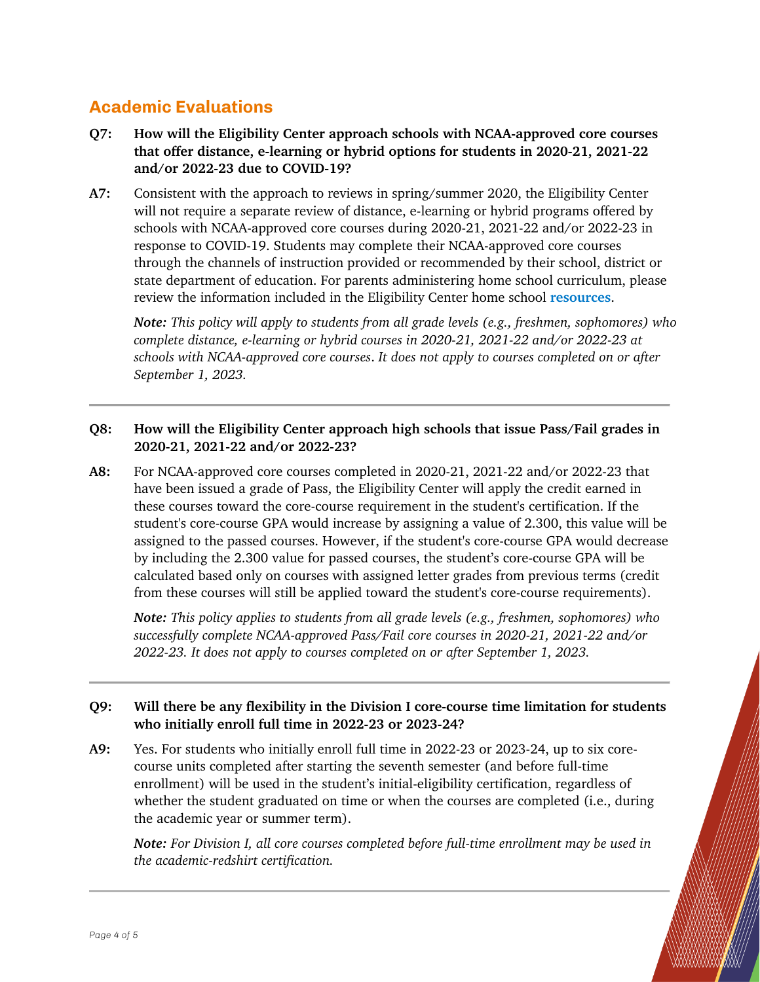## **Academic Evaluations**

- **Q7: How will the Eligibility Center approach schools with NCAA-approved core courses that offer distance, e-learning or hybrid options for students in 2020-21, 2021-22 and/or 2022-23 due to COVID-19?**
- **A7:** Consistent with the approach to reviews in spring/summer 2020, the Eligibility Center will not require a separate review of distance, e-learning or hybrid programs offered by schools with NCAA-approved core courses during 2020-21, 2021-22 and/or 2022-23 in response to COVID-19. Students may complete their NCAA-approved core courses through the channels of instruction provided or recommended by their school, district or state department of education. For parents administering home school curriculum, please review the information included in the Eligibility Center home school **[resources](http://www.ncaa.org/student-athletes/future/home-school-students)**.

*Note: This policy will apply to students from all grade levels (e.g., freshmen, sophomores) who complete distance, e-learning or hybrid courses in 2020-21, 2021-22 and/or 2022-23 at schools with NCAA-approved core courses*. *It does not apply to courses completed on or after September 1, 2023.*

## **Q8: How will the Eligibility Center approach high schools that issue Pass/Fail grades in 2020-21, 2021-22 and/or 2022-23?**

**A8:** For NCAA-approved core courses completed in 2020-21, 2021-22 and/or 2022-23 that have been issued a grade of Pass, the Eligibility Center will apply the credit earned in these courses toward the core-course requirement in the student's certification. If the student's core-course GPA would increase by assigning a value of 2.300, this value will be assigned to the passed courses. However, if the student's core-course GPA would decrease by including the 2.300 value for passed courses, the student's core-course GPA will be calculated based only on courses with assigned letter grades from previous terms (credit from these courses will still be applied toward the student's core-course requirements).

*Note: This policy applies to students from all grade levels (e.g., freshmen, sophomores) who successfully complete NCAA-approved Pass/Fail core courses in 2020-21, 2021-22 and/or 2022-23. It does not apply to courses completed on or after September 1, 2023.*

## **Q9: Will there be any flexibility in the Division I core-course time limitation for students who initially enroll full time in 2022-23 or 2023-24?**

**A9:** Yes. For students who initially enroll full time in 2022-23 or 2023-24, up to six corecourse units completed after starting the seventh semester (and before full-time enrollment) will be used in the student's initial-eligibility certification, regardless of whether the student graduated on time or when the courses are completed (i.e., during the academic year or summer term).

*Note: For Division I, all core courses completed before full-time enrollment may be used in the academic-redshirt certification.*